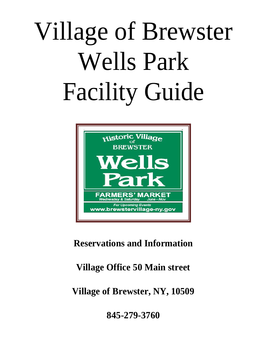# Village of Brewster Wells Park Facility Guide



# **Reservations and Information**

# **Village Office 50 Main street**

**Village of Brewster, NY, 10509**

**845-279-3760**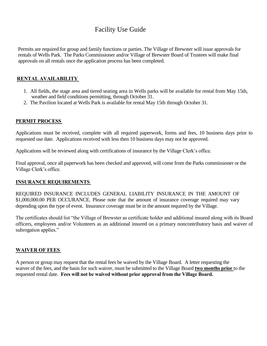## Facility Use Guide

Permits are required for group and family functions or parties. The Village of Brewster will issue approvals for rentals of Wells Park. The Parks Commissioner and/or Village of Brewster Board of Trustees will make final approvals on all rentals once the application process has been completed.

## **RENTAL AVAILABILITY**

- 1. All fields, the stage area and tiered seating area in Wells parks will be available for rental from May 15th, weather and field conditions permitting, through October 31.
- 2. The Pavilion located at Wells Park is available for rental May 15th through October 31.

## **PERMIT PROCESS**

Applications must be received, complete with all required paperwork, forms and fees, 10 business days prior to requested use date. Applications received with less then 10 business days may not be approved.

Applications will be reviewed along with certifications of insurance by the Village Clerk's office.

Final approval, once all paperwork has been checked and approved, will come from the Parks commissioner or the Village Clerk's office.

## **INSURANCE REQUIREMENTS**

REQUIRED INSURANCE INCLUDES GENERAL LIABILITY INSURANCE IN THE AMOUNT OF \$1,000,000.00 PER OCCURANCE. Please note that the amount of insurance coverage required may vary depending upon the type of event. Insurance coverage must be in the amount required by the Village.

The certificates should list "the Village of Brewster as certificate holder and additional insured along with its Board officers, employees and/or Volunteers as an additional insured on a primary noncontributory basis and waiver of subrogation applies."

### **WAIVER OF FEES**

A person or group may request that the rental fees be waived by the Village Board. A letter requesting the waiver of the fees, and the basis for such waiver, must be submitted to the Village Board **two months prior** to the requested rental date. **Fees will not be waived without prior approval from the Village Board.**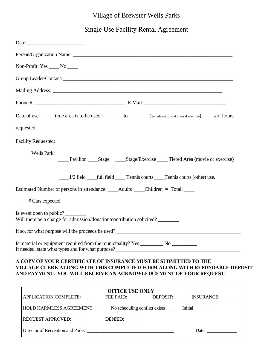## Village of Brewster Wells Parks

Single Use Facility Rental Agreement

| Date:                                                                                                                                                                                                               |
|---------------------------------------------------------------------------------------------------------------------------------------------------------------------------------------------------------------------|
|                                                                                                                                                                                                                     |
| Non-Profit: Yes _____ No ____                                                                                                                                                                                       |
|                                                                                                                                                                                                                     |
|                                                                                                                                                                                                                     |
|                                                                                                                                                                                                                     |
| Date of use______ time area is to be used: ________ to ______(Include set up and break down time)_____#of hours                                                                                                     |
| requested                                                                                                                                                                                                           |
| <b>Facility Requested:</b>                                                                                                                                                                                          |
| <b>Wells Park:</b><br>_____ Pavilion _______Stage __________Stage/Exercise ________ Tiered Area (movie or exercise)                                                                                                 |
|                                                                                                                                                                                                                     |
| Estimated Number of persons in attendance: ______Adults _____Children = Total: _____                                                                                                                                |
| $\_\_\#$ Cars expected.                                                                                                                                                                                             |
| Is event open to public?<br>Will there be a charge for admission/donation/contribution solicited?                                                                                                                   |
| If so, for what purpose will the proceeds be used?                                                                                                                                                                  |
| If needed, state what types and for what purpose?                                                                                                                                                                   |
| A COPY OF YOUR CERTIFICATE OF INSURANCE MUST BE SUBMITTED TO THE<br>VILLAGE CLERK ALONG WITH THIS COMPLETED FORM ALONG WITH REFUNDABLE DEPOSIT<br>AND PAYMENT. YOU WILL RECEIVE AN ACKNOWLEDGEMENT OF YOUR REQUEST. |
| <b>OFFICE USE ONLY</b><br>APPLICATION COMPLETE: ______________FEE PAID: ____________DEPOSIT: ____________ INSURANCE: ______                                                                                         |
| HOLD HARMLESS AGREEMENT: No scheduling conflict exists _______ Initial _______                                                                                                                                      |
| REQUEST APPROVED:<br>DENIED:                                                                                                                                                                                        |

Director of Recreation and Parks: \_\_\_\_\_\_\_\_\_\_\_\_\_\_\_\_\_\_\_\_\_\_\_\_\_\_\_\_\_\_\_\_\_\_\_\_\_ Date: \_\_\_\_\_\_\_\_\_\_\_\_\_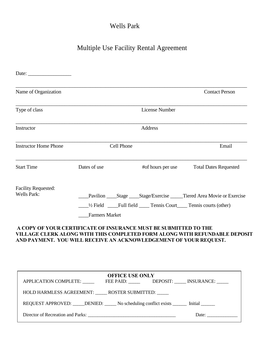# Wells Park

# Multiple Use Facility Rental Agreement

| Date: $\frac{1}{\sqrt{1-\frac{1}{2}}\sqrt{1-\frac{1}{2}}\sqrt{1-\frac{1}{2}}\sqrt{1-\frac{1}{2}}\sqrt{1-\frac{1}{2}}\sqrt{1-\frac{1}{2}}\sqrt{1-\frac{1}{2}}\sqrt{1-\frac{1}{2}}\sqrt{1-\frac{1}{2}}\sqrt{1-\frac{1}{2}}\sqrt{1-\frac{1}{2}}\sqrt{1-\frac{1}{2}}\sqrt{1-\frac{1}{2}}\sqrt{1-\frac{1}{2}}\sqrt{1-\frac{1}{2}}\sqrt{1-\frac{1}{2}}\sqrt{1-\frac{1}{2}}\sqrt{1-\frac{1}{2}}\sqrt{1-\frac{1}{2}}$ |                                                                                    |                                                                                                                                       |                                                                                |
|---------------------------------------------------------------------------------------------------------------------------------------------------------------------------------------------------------------------------------------------------------------------------------------------------------------------------------------------------------------------------------------------------------------|------------------------------------------------------------------------------------|---------------------------------------------------------------------------------------------------------------------------------------|--------------------------------------------------------------------------------|
| Name of Organization                                                                                                                                                                                                                                                                                                                                                                                          |                                                                                    |                                                                                                                                       | <b>Contact Person</b>                                                          |
| Type of class                                                                                                                                                                                                                                                                                                                                                                                                 |                                                                                    | <b>License Number</b>                                                                                                                 |                                                                                |
| Instructor                                                                                                                                                                                                                                                                                                                                                                                                    |                                                                                    | Address                                                                                                                               |                                                                                |
| <b>Instructor Home Phone</b>                                                                                                                                                                                                                                                                                                                                                                                  | Cell Phone                                                                         |                                                                                                                                       | Email                                                                          |
| <b>Start Time</b>                                                                                                                                                                                                                                                                                                                                                                                             | Dates of use                                                                       | #of hours per use                                                                                                                     | <b>Total Dates Requested</b>                                                   |
| <b>Facility Requested:</b><br><b>Wells Park:</b>                                                                                                                                                                                                                                                                                                                                                              |                                                                                    | 1/2 Field _____Full field ______ Tennis Court_____ Tennis courts (other)                                                              | Pavilion ______Stage ______Stage/Exercise _______Tiered Area Movie or Exercise |
|                                                                                                                                                                                                                                                                                                                                                                                                               | <b>Farmers Market</b>                                                              |                                                                                                                                       |                                                                                |
|                                                                                                                                                                                                                                                                                                                                                                                                               |                                                                                    | A COPY OF YOUR CERTIFICATE OF INSURANCE MUST BE SUBMITTED TO THE<br>AND PAYMENT. YOU WILL RECEIVE AN ACKNOWLEDGEMENT OF YOUR REQUEST. | VILLAGE CLERK ALONG WITH THIS COMPLETED FORM ALONG WITH REFUNDABLE DEPOSIT     |
|                                                                                                                                                                                                                                                                                                                                                                                                               | APPLICATION COMPLETE: FEE PAID:<br>HOLD HARMLESS AGREEMENT: ROSTER SUBMITTED: ____ | <b>OFFICE USE ONLY</b>                                                                                                                | DEPOSIT: ______ INSURANCE: _____                                               |
|                                                                                                                                                                                                                                                                                                                                                                                                               |                                                                                    | REQUEST APPROVED: _____ DENIED: _____ No scheduling conflict exists _______ Initial ______                                            |                                                                                |
|                                                                                                                                                                                                                                                                                                                                                                                                               |                                                                                    |                                                                                                                                       | Date: $\qquad \qquad$                                                          |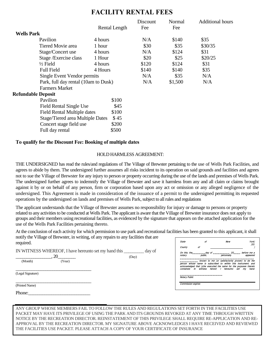## **FACILITY RENTAL FEES**

|                           |                                      |         |               | Discount | Normal  | <b>Additional hours</b> |
|---------------------------|--------------------------------------|---------|---------------|----------|---------|-------------------------|
|                           |                                      |         | Rental Length | Fee      | Fee     |                         |
| <b>Wells Park</b>         |                                      |         |               |          |         |                         |
|                           | Pavilion                             | 4 hours |               | N/A      | \$140   | \$35                    |
|                           | Tiered Movie area                    | 1 hour  |               | \$30     | \$35    | \$30/35                 |
|                           | Stage/Concert use                    | 4 hours |               | N/A      | \$124   | \$31                    |
|                           | Stage / Exercise class               | 1 Hour  |               | \$20     | \$25    | \$20/25                 |
|                           | $\frac{1}{2}$ Field                  | 4 hours |               | \$120    | \$124   | \$31                    |
|                           | <b>Full Field</b>                    | 4 Hours |               | \$140    | \$140   | \$35                    |
|                           | Single Event Vendor permits          |         |               | N/A      | \$35    | N/A                     |
|                           | Park, full day rental (10am to Dusk) |         |               | N/A      | \$1,500 | N/A                     |
|                           | <b>Farmers Market</b>                |         |               |          |         |                         |
| <b>Refundable Deposit</b> |                                      |         |               |          |         |                         |
|                           | Pavilion                             |         | \$100         |          |         |                         |
|                           | <b>Field Rental Single Use</b>       |         | \$45          |          |         |                         |
|                           | <b>Field Rental Multiple dates</b>   |         | \$100         |          |         |                         |
|                           | Stage/Tiered area Multiple Dates     |         | \$45          |          |         |                         |
|                           | Concert stage field use              |         | \$200         |          |         |                         |
|                           | Full day rental                      |         | \$500         |          |         |                         |
|                           |                                      |         |               |          |         |                         |

#### **To qualify for the Discount Fee: Booking of multiple dates**

#### HOLD HARMLESS AGREEMENT:

THE UNDERSIGNED has read the rules/and regulations of The Village of Brewster pertaining to the use of Wells Park Facilities, and agrees to abide by them. The undersigned further assumes all risks incident to its operation on said grounds and facilities and agrees not to sue the Village of Brewster for any injury to person or property occurring during the use of the lands and premises of Wells Park. The undersigned further agrees to indemnify the Village of Brewster and save it harmless from any and all claim or claims brought against it by or on behalf of any person, firm or corporation based upon any act or omission or any alleged negligence of the undersigned. This Agreement is made in consideration of the issuance of a permit to the undersigned permitting its requested operations by the undersigned on lands and premises of Wells Park, subject to all rules and regulations

The applicant understands that the Village of Brewster assumes no responsibility for injury or damage to persons or property related to any activities to be conducted at Wells Park. The applicant is aware that the Village of Brewster insurance does not apply to groups and their members using recreational facilities, as evidenced by the signature that appears on the attached application for the use of the Wells Park Facilities pertaining thereto.

At the conclusion of each activity for which permission to use park and recreational facilities has been granted to this applicant, it shall notify the Village of Brewster, in writing, of any repairs to any facilities that are required.

|                   | IN WITNESS WHEREOF, I have hereunto set my hand this |       | day of |
|-------------------|------------------------------------------------------|-------|--------|
|                   | 20                                                   | (Day) |        |
| (Month)           | (Year)                                               |       |        |
|                   |                                                      |       |        |
| (Legal Signature) |                                                      |       |        |
| (Printed Name)    |                                                      |       |        |
| Phone:            |                                                      |       |        |

| State  | of | <b>New</b>                                                                                                                                                                                                                                        | York)<br>)SS: |
|--------|----|---------------------------------------------------------------------------------------------------------------------------------------------------------------------------------------------------------------------------------------------------|---------------|
| County | of |                                                                                                                                                                                                                                                   |               |
| notary |    | On this, the_________ day of ___________. 20____. before me a                                                                                                                                                                                     | appeared      |
|        |    |                                                                                                                                                                                                                                                   |               |
|        |    | known to me (or satisfactorily proven) to be the<br>person whose name is subscribed to within this instrument. and<br>acknowledged that (s)he executed the same for the purposes therein<br>contained. In witness hereof, I hereunto set my hand. |               |

ANY GROUP WHOSE MEMBERS FAIL TO FOLLOW THE RULES AND REGULATIONS SET FORTH IN THE FACILITIES USE PACKET MAY HAVE ITS PRIVILEGE OF USING THE PARK AND ITS GROUNDS REVOKED AT ANY TIME THROUGH WRITTEN NOTICE BY THE RECREATION DIRECTOR. REINSTATEMENT OF THIS PRIVILEGE SHALL REQUIRE RE-APPLICATION AND RE-APPROVAL BY THE RECREATION DIRECTOR. MY SIGNATURE ABOVE ACKNOWLEDGES I HAVE RECEIVED AND REVIEWED THE FACILITIES USE PACKET. PLEASE ATTACH A COPY OF YOUR CERTIFICATE OF INSURANCE